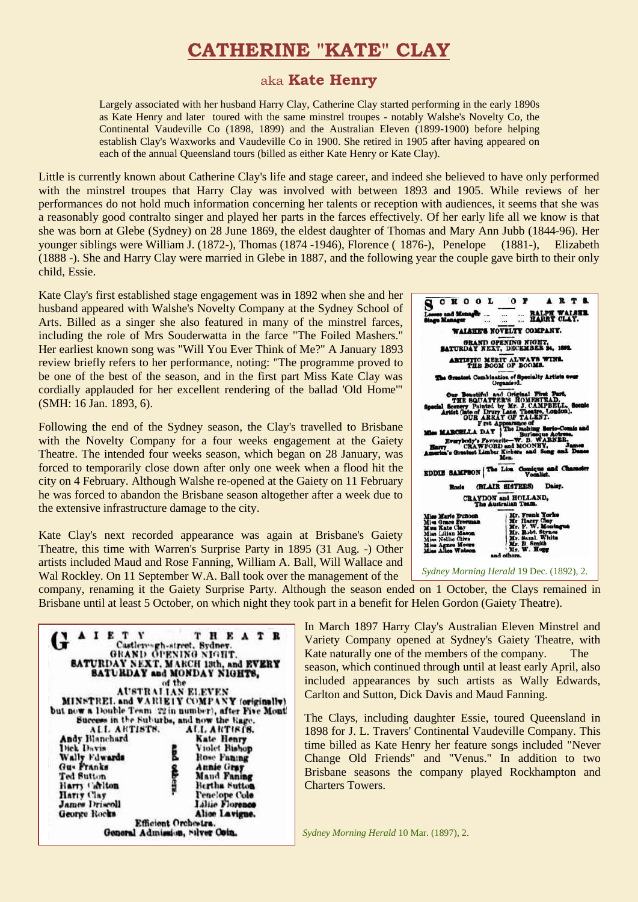# **CATHERINE "KATE" CLAY**

# aka **Kate Henry**

Largely associated with her husband Harry Clay, Catherine Clay started performing in the early 1890s as Kate Henry and later toured with the same minstrel troupes - notably Walshe's Novelty Co, the Continental Vaudeville Co (1898, 1899) and the Australian Eleven (1899-1900) before helping establish Clay's Waxworks and Vaudeville Co in 1900. She retired in 1905 after having appeared on each of the annual Queensland tours (billed as either Kate Henry or Kate Clay).

Little is currently known about Catherine Clay's life and stage career, and indeed she believed to have only performed with the minstrel troupes that Harry Clay was involved with between 1893 and 1905. While reviews of her performances do not hold much information concerning her talents or reception with audiences, it seems that she was a reasonably good contralto singer and played her parts in the farces effectively. Of her early life all we know is that she was born at Glebe (Sydney) on 28 June 1869, the eldest daughter of Thomas and Mary Ann Jubb (1844-96). Her younger siblings were William J. (1872-), Thomas (1874 -1946), Florence ( 1876-), Penelope (1881-), Elizabeth (1888 -). She and Harry Clay were married in Glebe in 1887, and the following year the couple gave birth to their only child, Essie.

Kate Clay's first established stage engagement was in 1892 when she and her husband appeared with Walshe's Novelty Company at the Sydney School of Arts. Billed as a singer she also featured in many of the minstrel farces, including the role of Mrs Souderwatta in the farce "The Foiled Mashers." Her earliest known song was "Will You Ever Think of Me?" A January 1893 review briefly refers to her performance, noting: "The programme proved to be one of the best of the season, and in the first part Miss Kate Clay was cordially applauded for her excellent rendering of the ballad 'Old Home'" (SMH: 16 Jan. 1893, 6).

Following the end of the Sydney season, the Clay's travelled to Brisbane with the Novelty Company for a four weeks engagement at the Gaiety Theatre. The intended four weeks season, which began on 28 January, was forced to temporarily close down after only one week when a flood hit the city on 4 February. Although Walshe re-opened at the Gaiety on 11 February he was forced to abandon the Brisbane season altogether after a week due to the extensive infrastructure damage to the city.

Kate Clay's next recorded appearance was again at Brisbane's Gaiety Theatre, this time with Warren's Surprise Party in 1895 (31 Aug. -) Other artists included Maud and Rose Fanning, William A. Ball, Will Wallace and Wal Rockley. On 11 September W.A. Ball took over the management of the



company, renaming it the Gaiety Surprise Party. Although the season ended on 1 October, the Clays remained in Brisbane until at least 5 October, on which night they took part in a benefit for Helen Gordon (Gaiety Theatre).

| AIETY                                                              | T H E A T R<br>Castleresgh-street, Sydney.<br>GRAND OPENING NIGHT.                          |
|--------------------------------------------------------------------|---------------------------------------------------------------------------------------------|
|                                                                    | <b>SATURDAY NEXT. MARCH 13th, and EVERY</b><br><b>SATURDAY and MONDAY NIGHTS,</b><br>of the |
| but now a Double Team 22 in number), after Five Mont               | <b>AUSTRALIAN ELEVEN</b>                                                                    |
| Success in the Suburbs, and now the Rage.                          | MINSTREL and VARIEIY COMPANY (originally)                                                   |
| ALL ARTISTS.                                                       | ALL ARTISTS.                                                                                |
| Andy Blanchard                                                     | <b>Kate Henry</b>                                                                           |
| Dick Davis                                                         | Violet Rishop                                                                               |
| Wally Fdwards                                                      | Rose Faning                                                                                 |
| Gu- Franks                                                         | <b>Annie Gray</b>                                                                           |
| Ted Sutton<br>Harry Carlton<br>Harry Clay<br><b>James Driscoll</b> | ad others<br>Mand Faning<br>Bertha Sutton<br>Penelope Colo<br>Liliie Florence               |
| George Rocks                                                       | Alice Lavigne.                                                                              |
| General Admission, Silver Coin.                                    | Efficient Orchestra.                                                                        |

In March 1897 Harry Clay's Australian Eleven Minstrel and Variety Company opened at Sydney's Gaiety Theatre, with Kate naturally one of the members of the company. The season, which continued through until at least early April, also included appearances by such artists as Wally Edwards, Carlton and Sutton, Dick Davis and Maud Fanning.

The Clays, including daughter Essie, toured Queensland in 1898 for J. L. Travers' Continental Vaudeville Company. This time billed as Kate Henry her feature songs included "Never Change Old Friends" and "Venus." In addition to two Brisbane seasons the company played Rockhampton and Charters Towers.

*Sydney Morning Herald* 10 Mar. (1897), 2.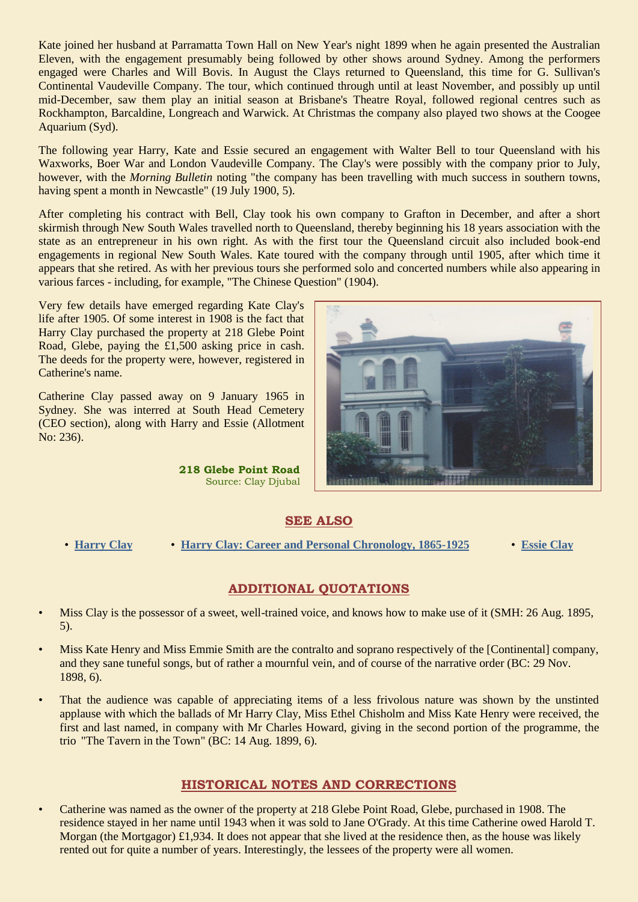Kate joined her husband at Parramatta Town Hall on New Year's night 1899 when he again presented the Australian Eleven, with the engagement presumably being followed by other shows around Sydney. Among the performers engaged were Charles and Will Bovis. In August the Clays returned to Queensland, this time for G. Sullivan's Continental Vaudeville Company. The tour, which continued through until at least November, and possibly up until mid-December, saw them play an initial season at Brisbane's Theatre Royal, followed regional centres such as Rockhampton, Barcaldine, Longreach and Warwick. At Christmas the company also played two shows at the Coogee Aquarium (Syd).

The following year Harry, Kate and Essie secured an engagement with Walter Bell to tour Queensland with his Waxworks, Boer War and London Vaudeville Company. The Clay's were possibly with the company prior to July, however, with the *Morning Bulletin* noting "the company has been travelling with much success in southern towns, having spent a month in Newcastle" (19 July 1900, 5).

After completing his contract with Bell, Clay took his own company to Grafton in December, and after a short skirmish through New South Wales travelled north to Queensland, thereby beginning his 18 years association with the state as an entrepreneur in his own right. As with the first tour the Queensland circuit also included book-end engagements in regional New South Wales. Kate toured with the company through until 1905, after which time it appears that she retired. As with her previous tours she performed solo and concerted numbers while also appearing in various farces - including, for example, "The Chinese Question" (1904).

Very few details have emerged regarding Kate Clay's life after 1905. Of some interest in 1908 is the fact that Harry Clay purchased the property at 218 Glebe Point Road, Glebe, paying the £1,500 asking price in cash. The deeds for the property were, however, registered in Catherine's name.

Catherine Clay passed away on 9 January 1965 in Sydney. She was interred at South Head Cemetery (CEO section), along with Harry and Essie (Allotment No: 236).

> **218 Glebe Point Road** Source: Clay Djubal



# **SEE ALSO**

• **[Harry Clay](http://ozvta.com/entrepreneurs-a-f/)** • **[Harry Clay: Career and Personal Chronology, 1865-1925](http://ozvta.com/entrepreneurs-a-f/)** • **[Essie Clay](http://ozvta.com/practitioners-c/)**

# **ADDITIONAL QUOTATIONS**

- Miss Clay is the possessor of a sweet, well-trained voice, and knows how to make use of it (SMH: 26 Aug. 1895, 5).
- Miss Kate Henry and Miss Emmie Smith are the contralto and soprano respectively of the [Continental] company, and they sane tuneful songs, but of rather a mournful vein, and of course of the narrative order (BC: 29 Nov. 1898, 6).
- That the audience was capable of appreciating items of a less frivolous nature was shown by the unstinted applause with which the ballads of Mr Harry Clay, Miss Ethel Chisholm and Miss Kate Henry were received, the first and last named, in company with Mr Charles Howard, giving in the second portion of the programme, the trio "The Tavern in the Town" (BC: 14 Aug. 1899, 6).

# **HISTORICAL NOTES AND CORRECTIONS**

• Catherine was named as the owner of the property at 218 Glebe Point Road, Glebe, purchased in 1908. The residence stayed in her name until 1943 when it was sold to Jane O'Grady. At this time Catherine owed Harold T. Morgan (the Mortgagor) £1,934. It does not appear that she lived at the residence then, as the house was likely rented out for quite a number of years. Interestingly, the lessees of the property were all women.